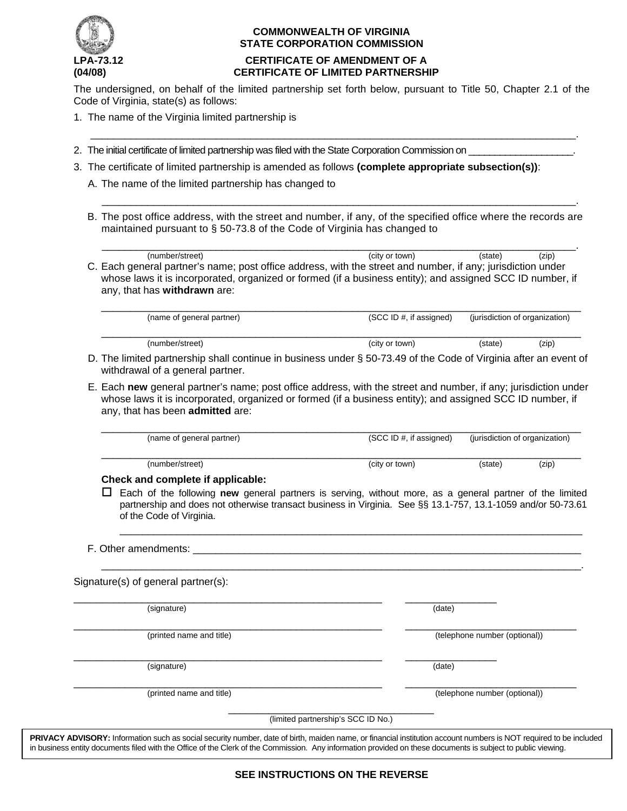

## **COMMONWEALTH OF VIRGINIA STATE CORPORATION COMMISSION**

# **LPA-73.12 CERTIFICATE OF AMENDMENT OF A (04/08) CERTIFICATE OF LIMITED PARTNERSHIP**

The undersigned, on behalf of the limited partnership set forth below, pursuant to Title 50, Chapter 2.1 of the Code of Virginia, state(s) as follows:

 $\overline{\phantom{a}}$  ,  $\overline{\phantom{a}}$  ,  $\overline{\phantom{a}}$  ,  $\overline{\phantom{a}}$  ,  $\overline{\phantom{a}}$  ,  $\overline{\phantom{a}}$  ,  $\overline{\phantom{a}}$  ,  $\overline{\phantom{a}}$  ,  $\overline{\phantom{a}}$  ,  $\overline{\phantom{a}}$  ,  $\overline{\phantom{a}}$  ,  $\overline{\phantom{a}}$  ,  $\overline{\phantom{a}}$  ,  $\overline{\phantom{a}}$  ,  $\overline{\phantom{a}}$  ,  $\overline{\phantom{a}}$ 

 $\overline{\phantom{a}}$  ,  $\overline{\phantom{a}}$  ,  $\overline{\phantom{a}}$  ,  $\overline{\phantom{a}}$  ,  $\overline{\phantom{a}}$  ,  $\overline{\phantom{a}}$  ,  $\overline{\phantom{a}}$  ,  $\overline{\phantom{a}}$  ,  $\overline{\phantom{a}}$  ,  $\overline{\phantom{a}}$  ,  $\overline{\phantom{a}}$  ,  $\overline{\phantom{a}}$  ,  $\overline{\phantom{a}}$  ,  $\overline{\phantom{a}}$  ,  $\overline{\phantom{a}}$  ,  $\overline{\phantom{a}}$ 

- 1. The name of the Virginia limited partnership is
- 2. The initial certificate of limited partnership was filed with the State Corporation Commission on
- 3. The certificate of limited partnership is amended as follows **(complete appropriate subsection(s))**:
	- A. The name of the limited partnership has changed to
	- B. The post office address, with the street and number, if any, of the specified office where the records are maintained pursuant to § 50-73.8 of the Code of Virginia has changed to

| (number/street)                                                                                             | (city or town) | (state) | (zip) |
|-------------------------------------------------------------------------------------------------------------|----------------|---------|-------|
| C. Each general partner's name; post office address, with the street and number, if any; jurisdiction under |                |         |       |
| whose laws it is incorporated, organized or formed (if a business entity); and assigned SCC ID number, if   |                |         |       |
| any, that has withdrawn are:                                                                                |                |         |       |

| (name of general partner) | (SCC ID #, if assigned) |         | (jurisdiction of organization) |
|---------------------------|-------------------------|---------|--------------------------------|
| (number/street)           | (city or town)          | (state) | (zip)                          |

 D. The limited partnership shall continue in business under § 50-73.49 of the Code of Virginia after an event of withdrawal of a general partner.

 E. Each **new** general partner's name; post office address, with the street and number, if any; jurisdiction under whose laws it is incorporated, organized or formed (if a business entity); and assigned SCC ID number, if any, that has been **admitted** are:

| (name of general partner)                 | (SCC ID #, if assigned) | (jurisdiction of organization) |       |
|-------------------------------------------|-------------------------|--------------------------------|-------|
| (number/street)<br>.<br>_______<br>-- - - | (city or town)          | (state)                        | (zip) |

#### **Check and complete if applicable:**

 Each of the following **new** general partners is serving, without more, as a general partner of the limited partnership and does not otherwise transact business in Virginia. See §§ 13.1-757, 13.1-1059 and/or 50-73.61 of the Code of Virginia.

\_\_\_\_\_\_\_\_\_\_\_\_\_\_\_\_\_\_\_\_\_\_\_\_\_\_\_\_\_\_\_\_\_\_\_\_\_\_\_\_\_\_\_\_\_\_\_\_\_\_\_\_\_\_\_\_\_\_\_\_\_\_\_\_\_\_\_\_\_\_\_\_\_\_\_\_\_\_\_\_\_\_\_\_.

\_\_\_\_\_\_\_\_\_\_\_\_\_\_\_\_\_\_\_\_\_\_\_\_\_\_\_\_\_\_\_\_\_\_\_\_\_\_\_\_\_\_\_\_\_\_\_\_\_\_\_\_\_\_\_\_\_\_\_\_\_\_\_\_\_\_\_\_\_\_\_\_\_\_\_\_\_\_\_\_\_

F. Other amendments:

Signature(s) of general partner(s):

(signature) (date)

\_\_\_\_\_\_\_\_\_\_\_\_\_\_\_\_\_\_\_\_\_\_\_\_\_\_\_\_\_\_\_\_\_\_\_\_\_\_\_\_\_\_\_\_\_\_\_\_\_\_\_\_\_\_ \_\_\_\_\_\_\_\_\_\_\_\_\_\_\_\_\_\_\_\_\_\_\_\_\_\_\_\_\_\_ (printed name and title) (telephone number (optional))

(signature) (date)

\_\_\_\_\_\_\_\_\_\_\_\_\_\_\_\_\_\_\_\_\_\_\_\_\_\_\_\_\_\_\_\_\_\_\_\_\_\_\_\_\_\_\_\_\_\_\_\_\_\_\_\_\_\_ \_\_\_\_\_\_\_\_\_\_\_\_\_\_\_\_

\_\_\_\_\_\_\_\_\_\_\_\_\_\_\_\_\_\_\_\_\_\_\_\_\_\_\_\_\_\_\_\_\_\_\_\_\_\_\_\_\_\_\_\_\_\_\_\_\_\_\_\_\_\_ \_\_\_\_\_\_\_\_\_\_\_\_\_\_\_\_\_\_\_\_\_\_\_\_\_\_\_\_\_\_ (printed name and title) (telephone number (optional))

> \_\_\_\_\_\_\_\_\_\_\_\_\_\_\_\_\_\_\_\_\_\_\_\_\_\_\_\_\_\_\_\_\_\_\_\_ (limited partnership's SCC ID No.)

**PRIVACY ADVISORY:** Information such as social security number, date of birth, maiden name, or financial institution account numbers is NOT required to be included in business entity documents filed with the Office of the Clerk of the Commission. Any information provided on these documents is subject to public viewing.

\_\_\_\_\_\_\_\_\_\_\_\_\_\_\_\_\_\_\_\_\_\_\_\_\_\_\_\_\_\_\_\_\_\_\_\_\_\_\_\_\_\_\_\_\_\_\_\_\_\_\_\_\_\_ \_\_\_\_\_\_\_\_\_\_\_\_\_\_\_\_